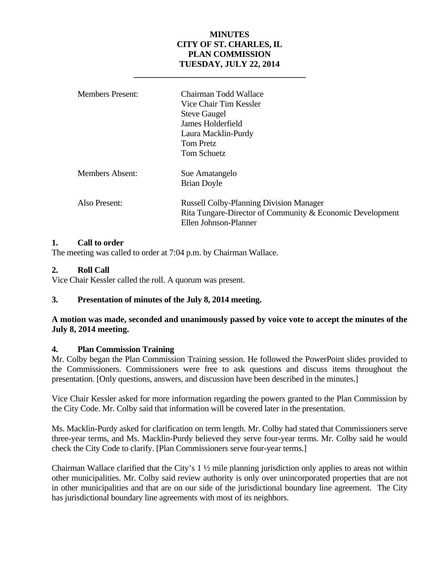# **MINUTES CITY OF ST. CHARLES, IL PLAN COMMISSION TUESDAY, JULY 22, 2014**

| <b>Members Present:</b> | Chairman Todd Wallace<br>Vice Chair Tim Kessler<br><b>Steve Gaugel</b><br>James Holderfield<br>Laura Macklin-Purdy<br><b>Tom Pretz</b><br>Tom Schuetz |
|-------------------------|-------------------------------------------------------------------------------------------------------------------------------------------------------|
| Members Absent:         | Sue Amatangelo<br><b>Brian Doyle</b>                                                                                                                  |
| Also Present:           | <b>Russell Colby-Planning Division Manager</b><br>Rita Tungare-Director of Community & Economic Development<br>Ellen Johnson-Planner                  |

## **1. Call to order**

The meeting was called to order at 7:04 p.m. by Chairman Wallace.

 **\_\_\_\_\_\_\_\_\_\_\_\_\_\_\_\_\_\_\_\_\_\_\_\_\_\_\_\_\_\_\_\_\_\_\_\_\_\_\_\_\_** 

## **2. Roll Call**

Vice Chair Kessler called the roll. A quorum was present.

# **3. Presentation of minutes of the July 8, 2014 meeting.**

## **A motion was made, seconded and unanimously passed by voice vote to accept the minutes of the July 8, 2014 meeting.**

#### **4. Plan Commission Training**

Mr. Colby began the Plan Commission Training session. He followed the PowerPoint slides provided to the Commissioners. Commissioners were free to ask questions and discuss items throughout the presentation. [Only questions, answers, and discussion have been described in the minutes.]

Vice Chair Kessler asked for more information regarding the powers granted to the Plan Commission by the City Code. Mr. Colby said that information will be covered later in the presentation.

Ms. Macklin-Purdy asked for clarification on term length. Mr. Colby had stated that Commissioners serve three-year terms, and Ms. Macklin-Purdy believed they serve four-year terms. Mr. Colby said he would check the City Code to clarify. [Plan Commissioners serve four-year terms.]

Chairman Wallace clarified that the City's  $1 \frac{1}{2}$  mile planning jurisdiction only applies to areas not within other municipalities. Mr. Colby said review authority is only over unincorporated properties that are not in other municipalities and that are on our side of the jurisdictional boundary line agreement. The City has jurisdictional boundary line agreements with most of its neighbors.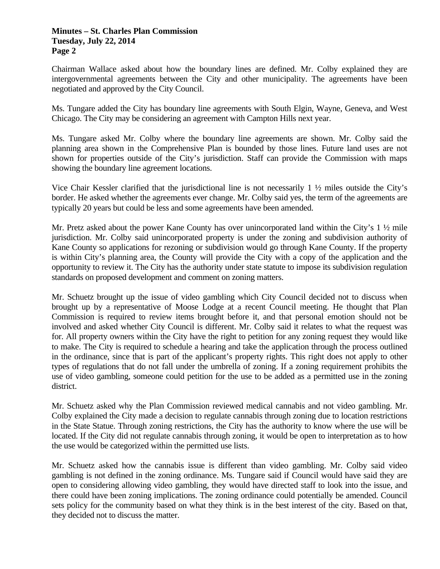Chairman Wallace asked about how the boundary lines are defined. Mr. Colby explained they are intergovernmental agreements between the City and other municipality. The agreements have been negotiated and approved by the City Council.

Ms. Tungare added the City has boundary line agreements with South Elgin, Wayne, Geneva, and West Chicago. The City may be considering an agreement with Campton Hills next year.

Ms. Tungare asked Mr. Colby where the boundary line agreements are shown. Mr. Colby said the planning area shown in the Comprehensive Plan is bounded by those lines. Future land uses are not shown for properties outside of the City's jurisdiction. Staff can provide the Commission with maps showing the boundary line agreement locations.

Vice Chair Kessler clarified that the jurisdictional line is not necessarily  $1 \frac{1}{2}$  miles outside the City's border. He asked whether the agreements ever change. Mr. Colby said yes, the term of the agreements are typically 20 years but could be less and some agreements have been amended.

Mr. Pretz asked about the power Kane County has over unincorporated land within the City's  $1 \frac{1}{2}$  mile jurisdiction. Mr. Colby said unincorporated property is under the zoning and subdivision authority of Kane County so applications for rezoning or subdivision would go through Kane County. If the property is within City's planning area, the County will provide the City with a copy of the application and the opportunity to review it. The City has the authority under state statute to impose its subdivision regulation standards on proposed development and comment on zoning matters.

Mr. Schuetz brought up the issue of video gambling which City Council decided not to discuss when brought up by a representative of Moose Lodge at a recent Council meeting. He thought that Plan Commission is required to review items brought before it, and that personal emotion should not be involved and asked whether City Council is different. Mr. Colby said it relates to what the request was for. All property owners within the City have the right to petition for any zoning request they would like to make. The City is required to schedule a hearing and take the application through the process outlined in the ordinance, since that is part of the applicant's property rights. This right does not apply to other types of regulations that do not fall under the umbrella of zoning. If a zoning requirement prohibits the use of video gambling, someone could petition for the use to be added as a permitted use in the zoning district.

Mr. Schuetz asked why the Plan Commission reviewed medical cannabis and not video gambling. Mr. Colby explained the City made a decision to regulate cannabis through zoning due to location restrictions in the State Statue. Through zoning restrictions, the City has the authority to know where the use will be located. If the City did not regulate cannabis through zoning, it would be open to interpretation as to how the use would be categorized within the permitted use lists.

Mr. Schuetz asked how the cannabis issue is different than video gambling. Mr. Colby said video gambling is not defined in the zoning ordinance. Ms. Tungare said if Council would have said they are open to considering allowing video gambling, they would have directed staff to look into the issue, and there could have been zoning implications. The zoning ordinance could potentially be amended. Council sets policy for the community based on what they think is in the best interest of the city. Based on that, they decided not to discuss the matter.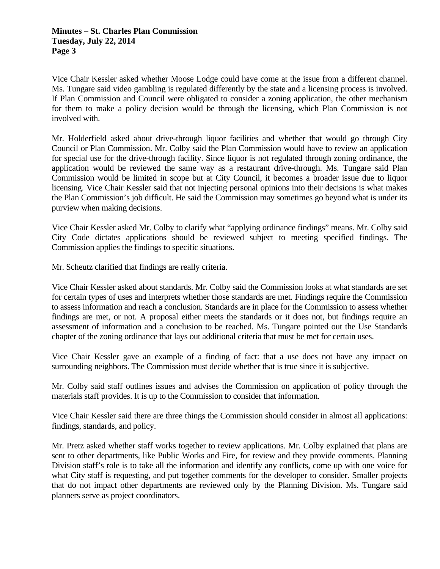Vice Chair Kessler asked whether Moose Lodge could have come at the issue from a different channel. Ms. Tungare said video gambling is regulated differently by the state and a licensing process is involved. If Plan Commission and Council were obligated to consider a zoning application, the other mechanism for them to make a policy decision would be through the licensing, which Plan Commission is not involved with.

Mr. Holderfield asked about drive-through liquor facilities and whether that would go through City Council or Plan Commission. Mr. Colby said the Plan Commission would have to review an application for special use for the drive-through facility. Since liquor is not regulated through zoning ordinance, the application would be reviewed the same way as a restaurant drive-through. Ms. Tungare said Plan Commission would be limited in scope but at City Council, it becomes a broader issue due to liquor licensing. Vice Chair Kessler said that not injecting personal opinions into their decisions is what makes the Plan Commission's job difficult. He said the Commission may sometimes go beyond what is under its purview when making decisions.

Vice Chair Kessler asked Mr. Colby to clarify what "applying ordinance findings" means. Mr. Colby said City Code dictates applications should be reviewed subject to meeting specified findings. The Commission applies the findings to specific situations.

Mr. Scheutz clarified that findings are really criteria.

Vice Chair Kessler asked about standards. Mr. Colby said the Commission looks at what standards are set for certain types of uses and interprets whether those standards are met. Findings require the Commission to assess information and reach a conclusion. Standards are in place for the Commission to assess whether findings are met, or not. A proposal either meets the standards or it does not, but findings require an assessment of information and a conclusion to be reached. Ms. Tungare pointed out the Use Standards chapter of the zoning ordinance that lays out additional criteria that must be met for certain uses.

Vice Chair Kessler gave an example of a finding of fact: that a use does not have any impact on surrounding neighbors. The Commission must decide whether that is true since it is subjective.

Mr. Colby said staff outlines issues and advises the Commission on application of policy through the materials staff provides. It is up to the Commission to consider that information.

Vice Chair Kessler said there are three things the Commission should consider in almost all applications: findings, standards, and policy.

Mr. Pretz asked whether staff works together to review applications. Mr. Colby explained that plans are sent to other departments, like Public Works and Fire, for review and they provide comments. Planning Division staff's role is to take all the information and identify any conflicts, come up with one voice for what City staff is requesting, and put together comments for the developer to consider. Smaller projects that do not impact other departments are reviewed only by the Planning Division. Ms. Tungare said planners serve as project coordinators.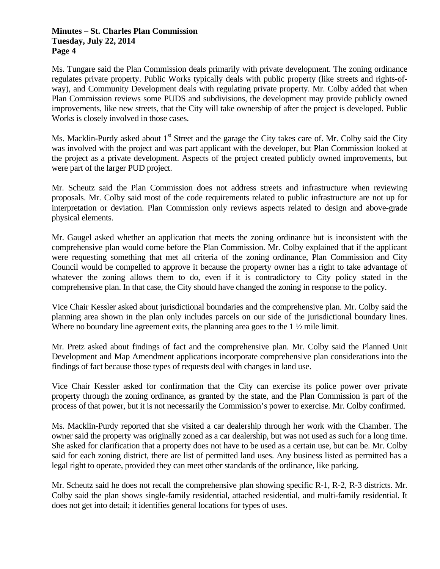Ms. Tungare said the Plan Commission deals primarily with private development. The zoning ordinance regulates private property. Public Works typically deals with public property (like streets and rights-ofway), and Community Development deals with regulating private property. Mr. Colby added that when Plan Commission reviews some PUDS and subdivisions, the development may provide publicly owned improvements, like new streets, that the City will take ownership of after the project is developed. Public Works is closely involved in those cases.

Ms. Macklin-Purdy asked about  $1<sup>st</sup>$  Street and the garage the City takes care of. Mr. Colby said the City was involved with the project and was part applicant with the developer, but Plan Commission looked at the project as a private development. Aspects of the project created publicly owned improvements, but were part of the larger PUD project.

Mr. Scheutz said the Plan Commission does not address streets and infrastructure when reviewing proposals. Mr. Colby said most of the code requirements related to public infrastructure are not up for interpretation or deviation. Plan Commission only reviews aspects related to design and above-grade physical elements.

Mr. Gaugel asked whether an application that meets the zoning ordinance but is inconsistent with the comprehensive plan would come before the Plan Commission. Mr. Colby explained that if the applicant were requesting something that met all criteria of the zoning ordinance, Plan Commission and City Council would be compelled to approve it because the property owner has a right to take advantage of whatever the zoning allows them to do, even if it is contradictory to City policy stated in the comprehensive plan. In that case, the City should have changed the zoning in response to the policy.

Vice Chair Kessler asked about jurisdictional boundaries and the comprehensive plan. Mr. Colby said the planning area shown in the plan only includes parcels on our side of the jurisdictional boundary lines. Where no boundary line agreement exits, the planning area goes to the 1  $\frac{1}{2}$  mile limit.

Mr. Pretz asked about findings of fact and the comprehensive plan. Mr. Colby said the Planned Unit Development and Map Amendment applications incorporate comprehensive plan considerations into the findings of fact because those types of requests deal with changes in land use.

Vice Chair Kessler asked for confirmation that the City can exercise its police power over private property through the zoning ordinance, as granted by the state, and the Plan Commission is part of the process of that power, but it is not necessarily the Commission's power to exercise. Mr. Colby confirmed.

Ms. Macklin-Purdy reported that she visited a car dealership through her work with the Chamber. The owner said the property was originally zoned as a car dealership, but was not used as such for a long time. She asked for clarification that a property does not have to be used as a certain use, but can be. Mr. Colby said for each zoning district, there are list of permitted land uses. Any business listed as permitted has a legal right to operate, provided they can meet other standards of the ordinance, like parking.

Mr. Scheutz said he does not recall the comprehensive plan showing specific R-1, R-2, R-3 districts. Mr. Colby said the plan shows single-family residential, attached residential, and multi-family residential. It does not get into detail; it identifies general locations for types of uses.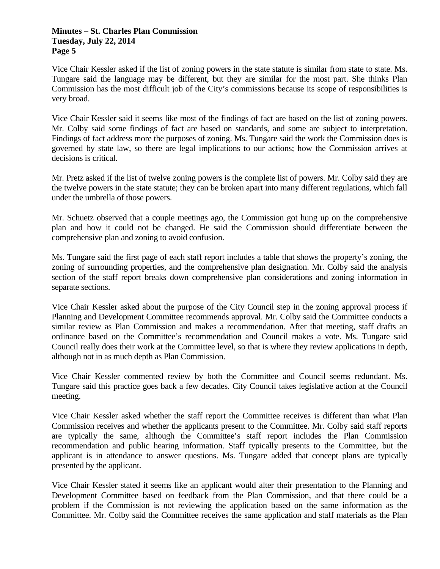Vice Chair Kessler asked if the list of zoning powers in the state statute is similar from state to state. Ms. Tungare said the language may be different, but they are similar for the most part. She thinks Plan Commission has the most difficult job of the City's commissions because its scope of responsibilities is very broad.

Vice Chair Kessler said it seems like most of the findings of fact are based on the list of zoning powers. Mr. Colby said some findings of fact are based on standards, and some are subject to interpretation. Findings of fact address more the purposes of zoning. Ms. Tungare said the work the Commission does is governed by state law, so there are legal implications to our actions; how the Commission arrives at decisions is critical.

Mr. Pretz asked if the list of twelve zoning powers is the complete list of powers. Mr. Colby said they are the twelve powers in the state statute; they can be broken apart into many different regulations, which fall under the umbrella of those powers.

Mr. Schuetz observed that a couple meetings ago, the Commission got hung up on the comprehensive plan and how it could not be changed. He said the Commission should differentiate between the comprehensive plan and zoning to avoid confusion.

Ms. Tungare said the first page of each staff report includes a table that shows the property's zoning, the zoning of surrounding properties, and the comprehensive plan designation. Mr. Colby said the analysis section of the staff report breaks down comprehensive plan considerations and zoning information in separate sections.

Vice Chair Kessler asked about the purpose of the City Council step in the zoning approval process if Planning and Development Committee recommends approval. Mr. Colby said the Committee conducts a similar review as Plan Commission and makes a recommendation. After that meeting, staff drafts an ordinance based on the Committee's recommendation and Council makes a vote. Ms. Tungare said Council really does their work at the Committee level, so that is where they review applications in depth, although not in as much depth as Plan Commission.

Vice Chair Kessler commented review by both the Committee and Council seems redundant. Ms. Tungare said this practice goes back a few decades. City Council takes legislative action at the Council meeting.

Vice Chair Kessler asked whether the staff report the Committee receives is different than what Plan Commission receives and whether the applicants present to the Committee. Mr. Colby said staff reports are typically the same, although the Committee's staff report includes the Plan Commission recommendation and public hearing information. Staff typically presents to the Committee, but the applicant is in attendance to answer questions. Ms. Tungare added that concept plans are typically presented by the applicant.

Vice Chair Kessler stated it seems like an applicant would alter their presentation to the Planning and Development Committee based on feedback from the Plan Commission, and that there could be a problem if the Commission is not reviewing the application based on the same information as the Committee. Mr. Colby said the Committee receives the same application and staff materials as the Plan